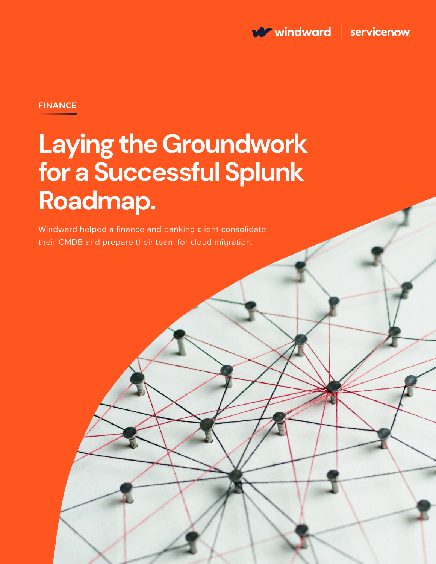

### **FINANCE**

# **Laying the Groundwork for a Successful Splunk Roadmap.**

Windward helped a finance and banking client consolidate their CMDB and prepare their team for cloud migration.